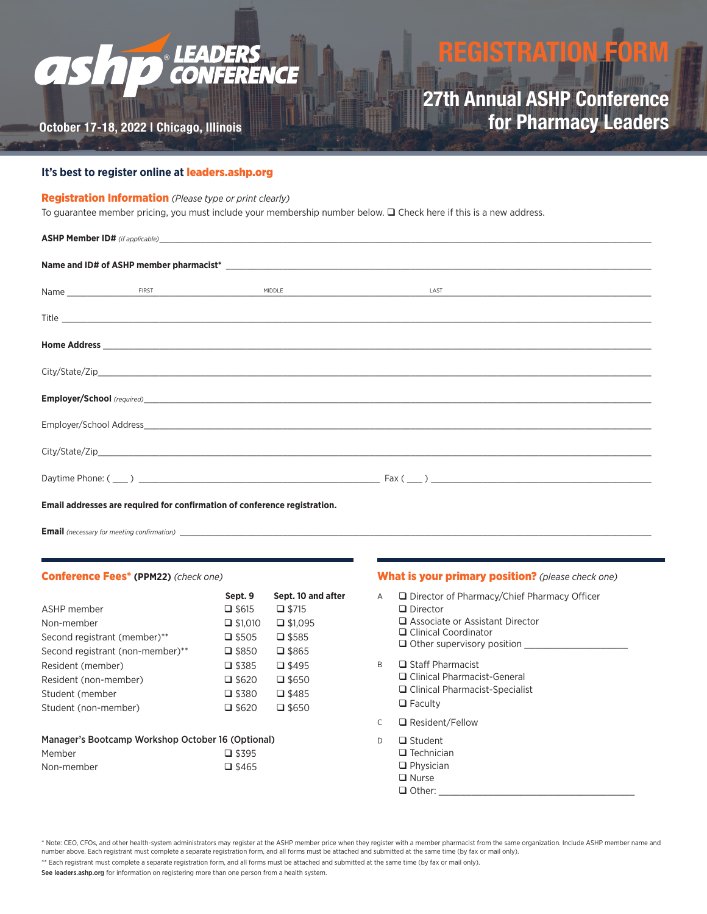### **AS WFERENCE** CO

# **REGISTRATION F**

### **October 17-18, 2022 | Chicago, Illinois**

### **27th Annual ASHP Conference for Pharmacy LeadersTHELA**

### **It's best to register online at** [leaders.ashp.org](http://leaders.ashp.org)

#### Registration Information *(Please type or print clearly)*

To guarantee member pricing, you must include your membership number below.  $\Box$  Check here if this is a new address.

| Email addresses are required for confirmation of conference registration. |  |  |  |  |  |  |
|---------------------------------------------------------------------------|--|--|--|--|--|--|

**Email** (necessary for meeting confirmation)

#### Conference Fees\* **(PPM22)** *(check one)*

|                                                   | Sept. 9         | Sept. 10 and after |  |  |  |
|---------------------------------------------------|-----------------|--------------------|--|--|--|
| ASHP member                                       | $\square$ \$615 | $\Box$ \$715       |  |  |  |
| Non-member                                        | $\Box$ \$1,010  | $\Box$ \$1,095     |  |  |  |
| Second registrant (member)**                      | $\square$ \$505 | $\square$ \$585    |  |  |  |
| Second registrant (non-member)**                  | $\square$ \$850 | $\square$ \$865    |  |  |  |
| Resident (member)                                 | $\square$ \$385 | $\square$ \$495    |  |  |  |
| Resident (non-member)                             | $\Box$ \$620    | $\square$ \$650    |  |  |  |
| Student (member                                   | $\square$ \$380 | $\square$ \$485    |  |  |  |
| Student (non-member)                              | $\square$ \$620 | $\square$ \$650    |  |  |  |
| Manager's Bootcamp Workshop October 16 (Optional) |                 |                    |  |  |  |
| Member                                            | $\square$ \$395 |                    |  |  |  |

## Non-member  $\Box$  \$465

#### What is your primary position? *(please check one)*

- A **Director of Pharmacy/Chief Pharmacy Officer** 
	- Director
	- Associate or Assistant Director
	- □ Clinical Coordinator
	- $\Box$  Other supervisory position \_
- B **B** Staff Pharmacist
	- □ Clinical Pharmacist-General
		- □ Clinical Pharmacist-Specialist
	- **D** Faculty
- C Resident/Fellow
- D **Q** Student
	- $\Box$  Technician
		- **D** Physician
	- **Q** Nurse
	- $\Box$  Other:

\* Note: CEO, CFOs, and other health-system administrators may register at the ASHP member price when they register with a member pharmacist from the same organization. Include ASHP member name and number above. Each registrant must complete a separate registration form, and all forms must be attached and submitted at the same time (by fax or mail only).

\*\* Each registrant must complete a separate registration form, and all forms must be attached and submitted at the same time (by fax or mail only).

See leaders.ashp.org for information on registering more than one person from a health system.